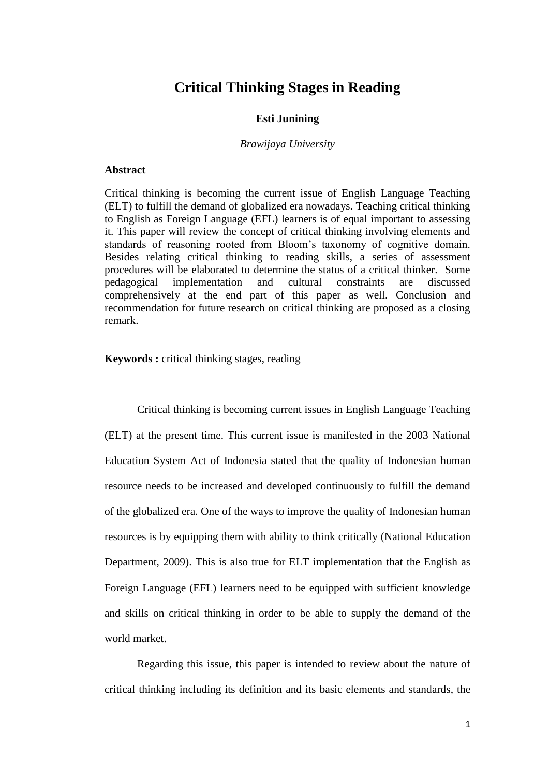# **Critical Thinking Stages in Reading**

#### **Esti Junining**

#### *Brawijaya University*

#### **Abstract**

Critical thinking is becoming the current issue of English Language Teaching (ELT) to fulfill the demand of globalized era nowadays. Teaching critical thinking to English as Foreign Language (EFL) learners is of equal important to assessing it. This paper will review the concept of critical thinking involving elements and standards of reasoning rooted from Bloom's taxonomy of cognitive domain. Besides relating critical thinking to reading skills, a series of assessment procedures will be elaborated to determine the status of a critical thinker. Some pedagogical implementation and cultural constraints are discussed comprehensively at the end part of this paper as well. Conclusion and recommendation for future research on critical thinking are proposed as a closing remark.

**Keywords :** critical thinking stages, reading

Critical thinking is becoming current issues in English Language Teaching (ELT) at the present time. This current issue is manifested in the 2003 National Education System Act of Indonesia stated that the quality of Indonesian human resource needs to be increased and developed continuously to fulfill the demand of the globalized era. One of the ways to improve the quality of Indonesian human resources is by equipping them with ability to think critically (National Education Department, 2009). This is also true for ELT implementation that the English as Foreign Language (EFL) learners need to be equipped with sufficient knowledge and skills on critical thinking in order to be able to supply the demand of the world market.

Regarding this issue, this paper is intended to review about the nature of critical thinking including its definition and its basic elements and standards, the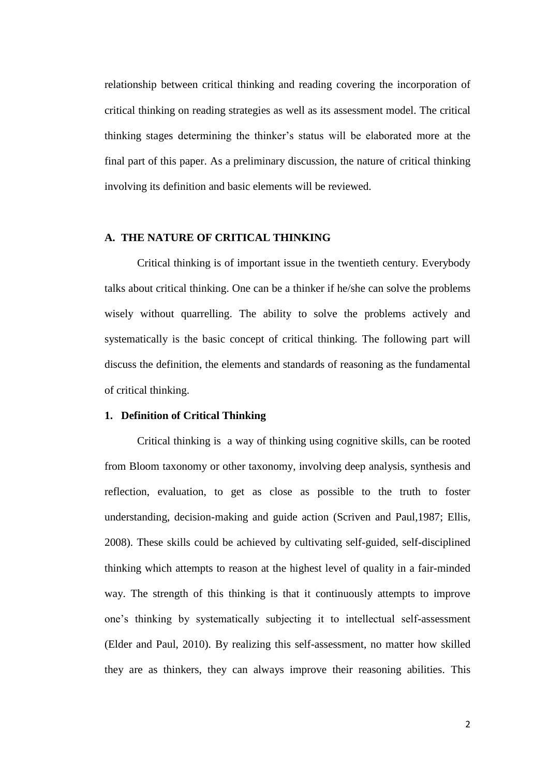relationship between critical thinking and reading covering the incorporation of critical thinking on reading strategies as well as its assessment model. The critical thinking stages determining the thinker's status will be elaborated more at the final part of this paper. As a preliminary discussion, the nature of critical thinking involving its definition and basic elements will be reviewed.

## **A. THE NATURE OF CRITICAL THINKING**

Critical thinking is of important issue in the twentieth century. Everybody talks about critical thinking. One can be a thinker if he/she can solve the problems wisely without quarrelling. The ability to solve the problems actively and systematically is the basic concept of critical thinking. The following part will discuss the definition, the elements and standards of reasoning as the fundamental of critical thinking.

#### **1. Definition of Critical Thinking**

Critical thinking is a way of thinking using cognitive skills, can be rooted from Bloom taxonomy or other taxonomy, involving deep analysis, synthesis and reflection, evaluation, to get as close as possible to the truth to foster understanding, decision-making and guide action (Scriven and Paul,1987; Ellis, 2008). These skills could be achieved by cultivating self-guided, self-disciplined thinking which attempts to reason at the highest level of quality in a fair-minded way. The strength of this thinking is that it continuously attempts to improve one's thinking by systematically subjecting it to intellectual self-assessment (Elder and Paul, 2010). By realizing this self-assessment, no matter how skilled they are as thinkers, they can always improve their reasoning abilities. This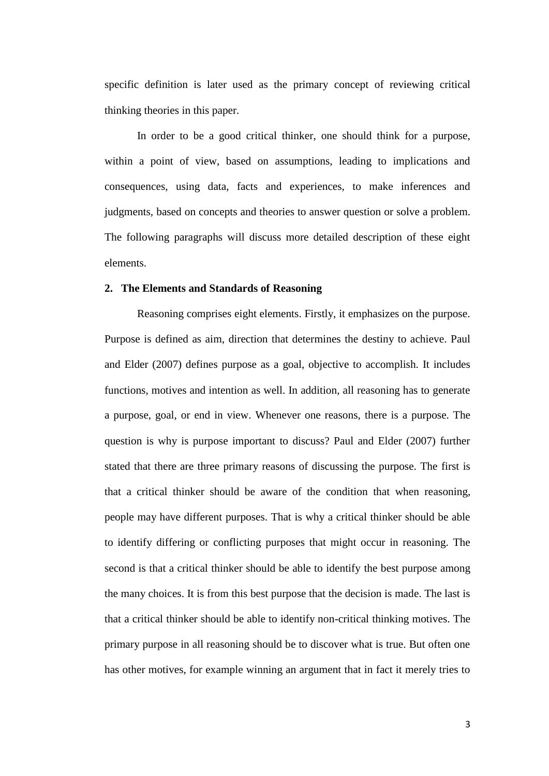specific definition is later used as the primary concept of reviewing critical thinking theories in this paper.

In order to be a good critical thinker, one should think for a purpose, within a point of view, based on assumptions, leading to implications and consequences, using data, facts and experiences, to make inferences and judgments, based on concepts and theories to answer question or solve a problem. The following paragraphs will discuss more detailed description of these eight elements.

### **2. The Elements and Standards of Reasoning**

Reasoning comprises eight elements. Firstly, it emphasizes on the purpose. Purpose is defined as aim, direction that determines the destiny to achieve. Paul and Elder (2007) defines purpose as a goal, objective to accomplish. It includes functions, motives and intention as well. In addition, all reasoning has to generate a purpose, goal, or end in view. Whenever one reasons, there is a purpose. The question is why is purpose important to discuss? Paul and Elder (2007) further stated that there are three primary reasons of discussing the purpose. The first is that a critical thinker should be aware of the condition that when reasoning, people may have different purposes. That is why a critical thinker should be able to identify differing or conflicting purposes that might occur in reasoning. The second is that a critical thinker should be able to identify the best purpose among the many choices. It is from this best purpose that the decision is made. The last is that a critical thinker should be able to identify non-critical thinking motives. The primary purpose in all reasoning should be to discover what is true. But often one has other motives, for example winning an argument that in fact it merely tries to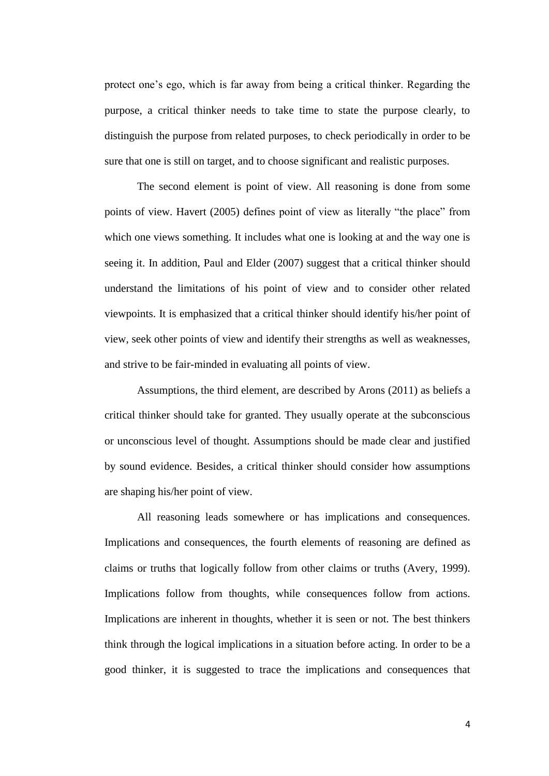protect one's ego, which is far away from being a critical thinker. Regarding the purpose, a critical thinker needs to take time to state the purpose clearly, to distinguish the purpose from related purposes, to check periodically in order to be sure that one is still on target, and to choose significant and realistic purposes.

The second element is point of view. All reasoning is done from some points of view. Havert (2005) defines point of view as literally "the place" from which one views something. It includes what one is looking at and the way one is seeing it. In addition, Paul and Elder (2007) suggest that a critical thinker should understand the limitations of his point of view and to consider other related viewpoints. It is emphasized that a critical thinker should identify his/her point of view, seek other points of view and identify their strengths as well as weaknesses, and strive to be fair-minded in evaluating all points of view.

Assumptions, the third element, are described by Arons (2011) as beliefs a critical thinker should take for granted. They usually operate at the subconscious or unconscious level of thought. Assumptions should be made clear and justified by sound evidence. Besides, a critical thinker should consider how assumptions are shaping his/her point of view.

All reasoning leads somewhere or has implications and consequences. Implications and consequences, the fourth elements of reasoning are defined as claims or truths that logically follow from other claims or truths (Avery, 1999). Implications follow from thoughts, while consequences follow from actions. Implications are inherent in thoughts, whether it is seen or not. The best thinkers think through the logical implications in a situation before acting. In order to be a good thinker, it is suggested to trace the implications and consequences that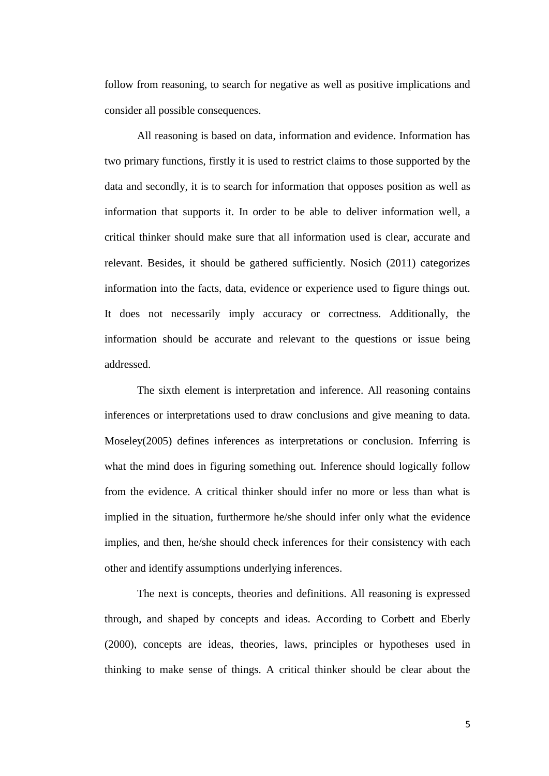follow from reasoning, to search for negative as well as positive implications and consider all possible consequences.

All reasoning is based on data, information and evidence. Information has two primary functions, firstly it is used to restrict claims to those supported by the data and secondly, it is to search for information that opposes position as well as information that supports it. In order to be able to deliver information well, a critical thinker should make sure that all information used is clear, accurate and relevant. Besides, it should be gathered sufficiently. Nosich (2011) categorizes information into the facts, data, evidence or experience used to figure things out. It does not necessarily imply accuracy or correctness. Additionally, the information should be accurate and relevant to the questions or issue being addressed.

The sixth element is interpretation and inference. All reasoning contains inferences or interpretations used to draw conclusions and give meaning to data. Moseley(2005) defines inferences as interpretations or conclusion. Inferring is what the mind does in figuring something out. Inference should logically follow from the evidence. A critical thinker should infer no more or less than what is implied in the situation, furthermore he/she should infer only what the evidence implies, and then, he/she should check inferences for their consistency with each other and identify assumptions underlying inferences.

The next is concepts, theories and definitions. All reasoning is expressed through, and shaped by concepts and ideas. According to Corbett and Eberly (2000), concepts are ideas, theories, laws, principles or hypotheses used in thinking to make sense of things. A critical thinker should be clear about the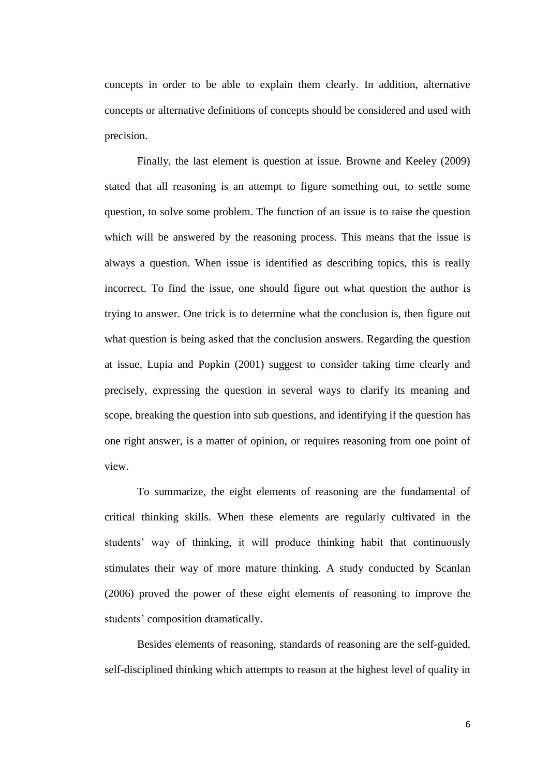concepts in order to be able to explain them clearly. In addition, alternative concepts or alternative definitions of concepts should be considered and used with precision.

Finally, the last element is question at issue. Browne and Keeley (2009) stated that all reasoning is an attempt to figure something out, to settle some question, to solve some problem. The function of an issue is to raise the question which will be answered by the reasoning process. This means that the issue is always a question. When issue is identified as describing topics, this is really incorrect. To find the issue, one should figure out what question the author is trying to answer. One trick is to determine what the [conclusion](http://www.santarosa.edu/~dpeterso/permanenthtml/Phil.CT.lessons02.html#Conclusion) is, then figure out what question is being asked that the conclusion answers. Regarding the question at issue, Lupia and Popkin (2001) suggest to consider taking time clearly and precisely, expressing the question in several ways to clarify its meaning and scope, breaking the question into sub questions, and identifying if the question has one right answer, is a matter of opinion, or requires reasoning from one point of view.

To summarize, the eight elements of reasoning are the fundamental of critical thinking skills. When these elements are regularly cultivated in the students' way of thinking, it will produce thinking habit that continuously stimulates their way of more mature thinking. A study conducted by Scanlan (2006) proved the power of these eight elements of reasoning to improve the students' composition dramatically.

Besides elements of reasoning, standards of reasoning are the self-guided, self-disciplined thinking which attempts to reason at the highest level of quality in

6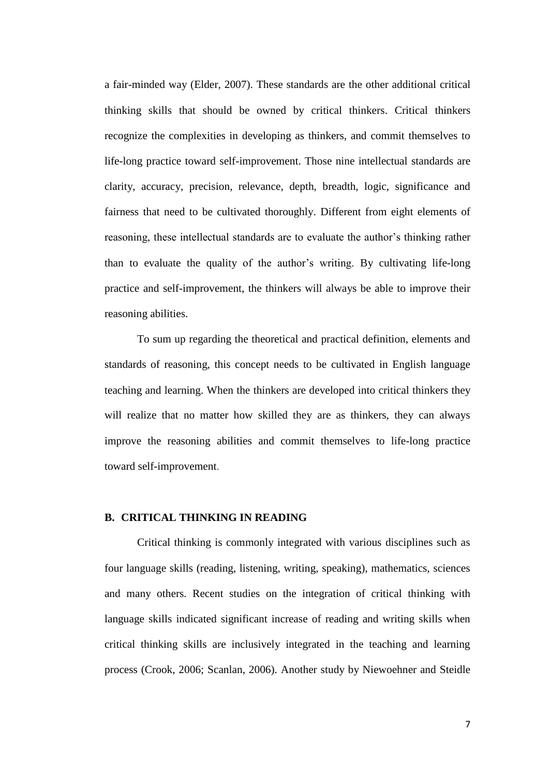a fair-minded way (Elder, 2007). These standards are the other additional critical thinking skills that should be owned by critical thinkers. Critical thinkers recognize the complexities in developing as thinkers, and commit themselves to life-long practice toward self-improvement. Those nine intellectual standards are clarity, accuracy, precision, relevance, depth, breadth, logic, significance and fairness that need to be cultivated thoroughly. Different from eight elements of reasoning, these intellectual standards are to evaluate the author's thinking rather than to evaluate the quality of the author's writing. By cultivating life-long practice and self-improvement, the thinkers will always be able to improve their reasoning abilities.

To sum up regarding the theoretical and practical definition, elements and standards of reasoning, this concept needs to be cultivated in English language teaching and learning. When the thinkers are developed into critical thinkers they will realize that no matter how skilled they are as thinkers, they can always improve the reasoning abilities and commit themselves to life-long practice toward self-improvement.

### **B. CRITICAL THINKING IN READING**

Critical thinking is commonly integrated with various disciplines such as four language skills (reading, listening, writing, speaking), mathematics, sciences and many others. Recent studies on the integration of critical thinking with language skills indicated significant increase of reading and writing skills when critical thinking skills are inclusively integrated in the teaching and learning process (Crook, 2006; Scanlan, 2006). Another study by Niewoehner and Steidle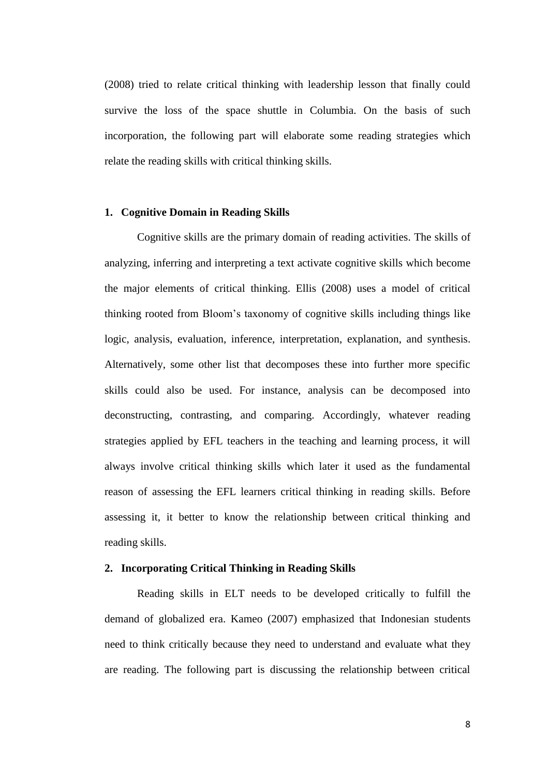(2008) tried to relate critical thinking with leadership lesson that finally could survive the loss of the space shuttle in Columbia. On the basis of such incorporation, the following part will elaborate some reading strategies which relate the reading skills with critical thinking skills.

#### **1. Cognitive Domain in Reading Skills**

Cognitive skills are the primary domain of reading activities. The skills of analyzing, inferring and interpreting a text activate cognitive skills which become the major elements of critical thinking. Ellis (2008) uses a model of critical thinking rooted from Bloom's taxonomy of cognitive skills including things like logic, analysis, evaluation, inference, interpretation, explanation, and synthesis. Alternatively, some other list that decomposes these into further more specific skills could also be used. For instance, analysis can be decomposed into deconstructing, contrasting, and comparing. Accordingly, whatever reading strategies applied by EFL teachers in the teaching and learning process, it will always involve critical thinking skills which later it used as the fundamental reason of assessing the EFL learners critical thinking in reading skills. Before assessing it, it better to know the relationship between critical thinking and reading skills.

### **2. Incorporating Critical Thinking in Reading Skills**

Reading skills in ELT needs to be developed critically to fulfill the demand of globalized era. Kameo (2007) emphasized that Indonesian students need to think critically because they need to understand and evaluate what they are reading. The following part is discussing the relationship between critical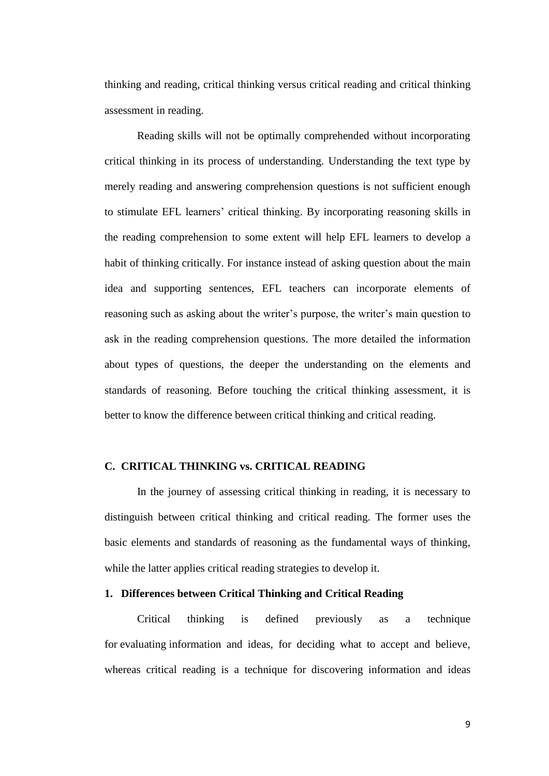thinking and reading, critical thinking versus critical reading and critical thinking assessment in reading.

Reading skills will not be optimally comprehended without incorporating critical thinking in its process of understanding. Understanding the text type by merely reading and answering comprehension questions is not sufficient enough to stimulate EFL learners' critical thinking. By incorporating reasoning skills in the reading comprehension to some extent will help EFL learners to develop a habit of thinking critically. For instance instead of asking question about the main idea and supporting sentences, EFL teachers can incorporate elements of reasoning such as asking about the writer's purpose, the writer's main question to ask in the reading comprehension questions. The more detailed the information about types of questions, the deeper the understanding on the elements and standards of reasoning. Before touching the critical thinking assessment, it is better to know the difference between critical thinking and critical reading.

### **C. CRITICAL THINKING vs. CRITICAL READING**

In the journey of assessing critical thinking in reading, it is necessary to distinguish between critical thinking and critical reading. The former uses the basic elements and standards of reasoning as the fundamental ways of thinking, while the latter applies critical reading strategies to develop it.

### **1. Differences between Critical Thinking and Critical Reading**

Critical thinking is defined previously as a technique for evaluating information and ideas, for deciding what to accept and believe, whereas critical reading is a technique for discovering information and ideas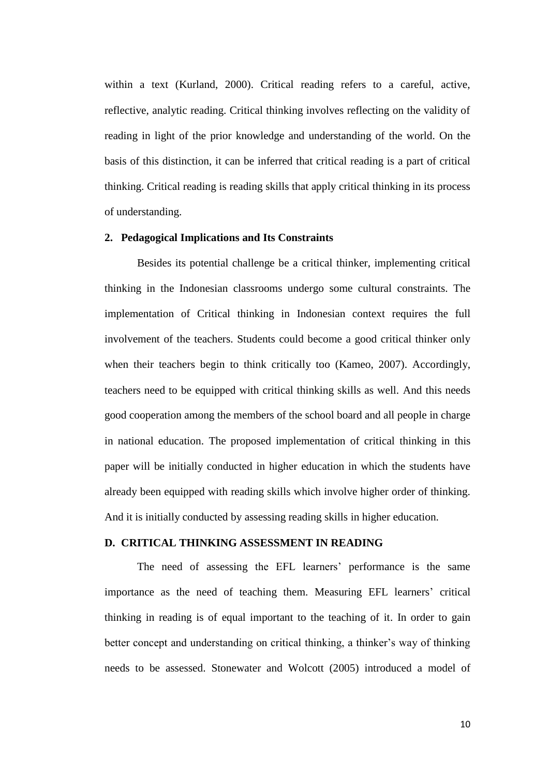within a text (Kurland, 2000). Critical reading refers to a careful, active, reflective, analytic reading. Critical thinking involves reflecting on the validity of reading in light of the prior knowledge and understanding of the world. On the basis of this distinction, it can be inferred that critical reading is a part of critical thinking. Critical reading is reading skills that apply critical thinking in its process of understanding.

### **2. Pedagogical Implications and Its Constraints**

Besides its potential challenge be a critical thinker, implementing critical thinking in the Indonesian classrooms undergo some cultural constraints. The implementation of Critical thinking in Indonesian context requires the full involvement of the teachers. Students could become a good critical thinker only when their teachers begin to think critically too (Kameo, 2007). Accordingly, teachers need to be equipped with critical thinking skills as well. And this needs good cooperation among the members of the school board and all people in charge in national education. The proposed implementation of critical thinking in this paper will be initially conducted in higher education in which the students have already been equipped with reading skills which involve higher order of thinking. And it is initially conducted by assessing reading skills in higher education.

### **D. CRITICAL THINKING ASSESSMENT IN READING**

The need of assessing the EFL learners' performance is the same importance as the need of teaching them. Measuring EFL learners' critical thinking in reading is of equal important to the teaching of it. In order to gain better concept and understanding on critical thinking, a thinker's way of thinking needs to be assessed. Stonewater and Wolcott (2005) introduced a model of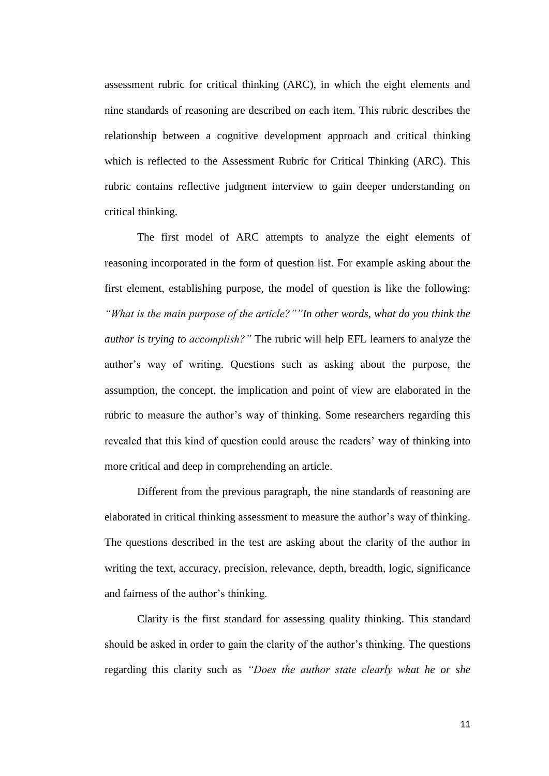assessment rubric for critical thinking (ARC), in which the eight elements and nine standards of reasoning are described on each item. This rubric describes the relationship between a cognitive development approach and critical thinking which is reflected to the Assessment Rubric for Critical Thinking (ARC). This rubric contains reflective judgment interview to gain deeper understanding on critical thinking.

The first model of ARC attempts to analyze the eight elements of reasoning incorporated in the form of question list. For example asking about the first element, establishing purpose, the model of question is like the following: *"What is the main purpose of the article?""In other words, what do you think the author is trying to accomplish?"* The rubric will help EFL learners to analyze the author's way of writing. Questions such as asking about the purpose, the assumption, the concept, the implication and point of view are elaborated in the rubric to measure the author's way of thinking. Some researchers regarding this revealed that this kind of question could arouse the readers' way of thinking into more critical and deep in comprehending an article.

Different from the previous paragraph, the nine standards of reasoning are elaborated in critical thinking assessment to measure the author's way of thinking. The questions described in the test are asking about the clarity of the author in writing the text, accuracy, precision, relevance, depth, breadth, logic, significance and fairness of the author's thinking.

Clarity is the first standard for assessing quality thinking. This standard should be asked in order to gain the clarity of the author's thinking. The questions regarding this clarity such as *"Does the author state clearly what he or she*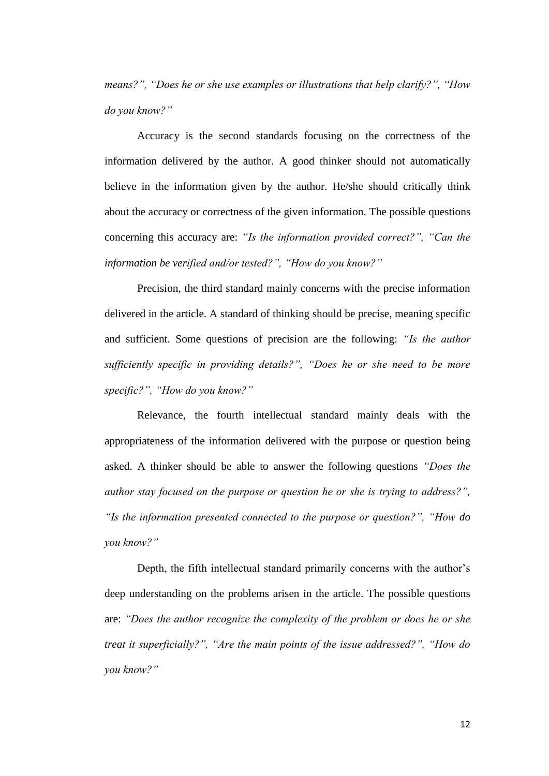*means?", "Does he or she use examples or illustrations that help clarify?", "How do you know?"*

Accuracy is the second standards focusing on the correctness of the information delivered by the author. A good thinker should not automatically believe in the information given by the author. He/she should critically think about the accuracy or correctness of the given information. The possible questions concerning this accuracy are: *"Is the information provided correct?", "Can the information be verified and/or tested?", "How do you know?"*

Precision, the third standard mainly concerns with the precise information delivered in the article. A standard of thinking should be precise, meaning specific and sufficient. Some questions of precision are the following: *"Is the author sufficiently specific in providing details?", "Does he or she need to be more specific?", "How do you know?"*

Relevance, the fourth intellectual standard mainly deals with the appropriateness of the information delivered with the purpose or question being asked. A thinker should be able to answer the following questions *"Does the author stay focused on the purpose or question he or she is trying to address?", "Is the information presented connected to the purpose or question?", "How do you know?"*

Depth, the fifth intellectual standard primarily concerns with the author's deep understanding on the problems arisen in the article. The possible questions are: *"Does the author recognize the complexity of the problem or does he or she treat it superficially?", "Are the main points of the issue addressed?", "How do you know?"*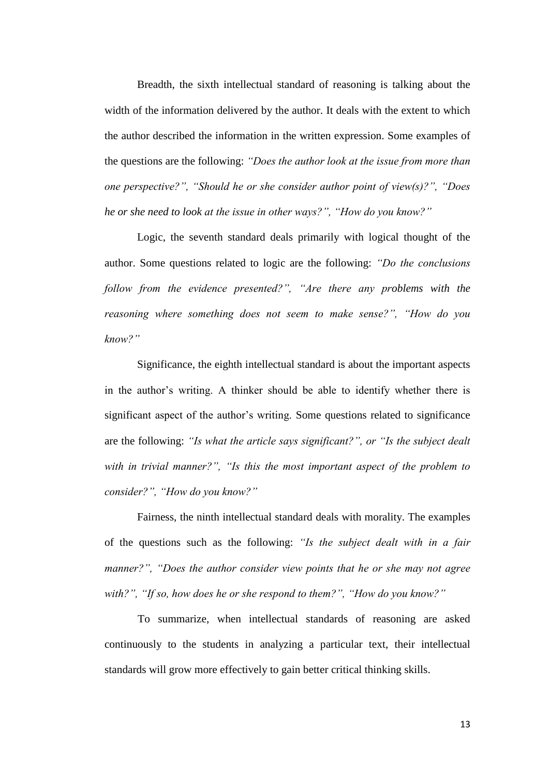Breadth, the sixth intellectual standard of reasoning is talking about the width of the information delivered by the author. It deals with the extent to which the author described the information in the written expression. Some examples of the questions are the following: *"Does the author look at the issue from more than one perspective?", "Should he or she consider author point of view(s)?", "Does he or she need to look at the issue in other ways?", "How do you know?"*

Logic, the seventh standard deals primarily with logical thought of the author. Some questions related to logic are the following: *"Do the conclusions follow from the evidence presented?", "Are there any problems with the reasoning where something does not seem to make sense?", "How do you know?"*

Significance, the eighth intellectual standard is about the important aspects in the author's writing. A thinker should be able to identify whether there is significant aspect of the author's writing. Some questions related to significance are the following: *"Is what the article says significant?", or "Is the subject dealt with in trivial manner?", "Is this the most important aspect of the problem to consider?", "How do you know?"*

Fairness, the ninth intellectual standard deals with morality. The examples of the questions such as the following: *"Is the subject dealt with in a fair manner?", "Does the author consider view points that he or she may not agree with?", "If so, how does he or she respond to them?", "How do you know?"*

To summarize, when intellectual standards of reasoning are asked continuously to the students in analyzing a particular text, their intellectual standards will grow more effectively to gain better critical thinking skills.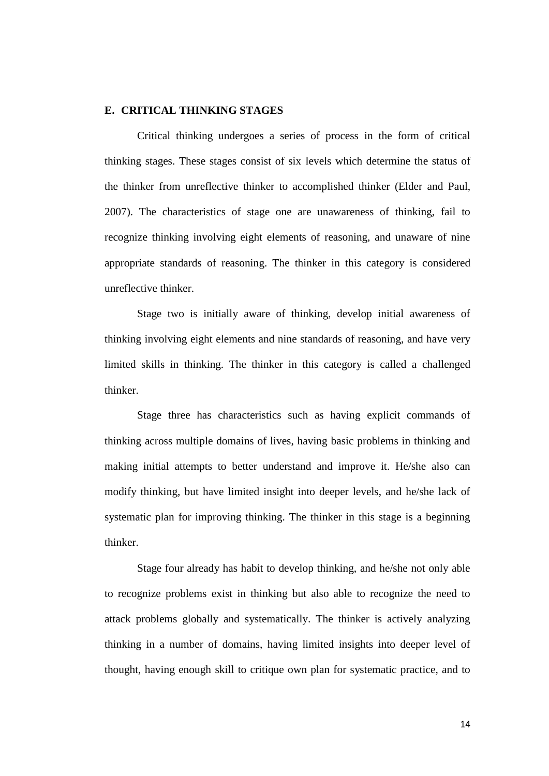### **E. CRITICAL THINKING STAGES**

Critical thinking undergoes a series of process in the form of critical thinking stages. These stages consist of six levels which determine the status of the thinker from unreflective thinker to accomplished thinker (Elder and Paul, 2007). The characteristics of stage one are unawareness of thinking, fail to recognize thinking involving eight elements of reasoning, and unaware of nine appropriate standards of reasoning. The thinker in this category is considered unreflective thinker.

Stage two is initially aware of thinking, develop initial awareness of thinking involving eight elements and nine standards of reasoning, and have very limited skills in thinking. The thinker in this category is called a challenged thinker.

Stage three has characteristics such as having explicit commands of thinking across multiple domains of lives, having basic problems in thinking and making initial attempts to better understand and improve it. He/she also can modify thinking, but have limited insight into deeper levels, and he/she lack of systematic plan for improving thinking. The thinker in this stage is a beginning thinker.

Stage four already has habit to develop thinking, and he/she not only able to recognize problems exist in thinking but also able to recognize the need to attack problems globally and systematically. The thinker is actively analyzing thinking in a number of domains, having limited insights into deeper level of thought, having enough skill to critique own plan for systematic practice, and to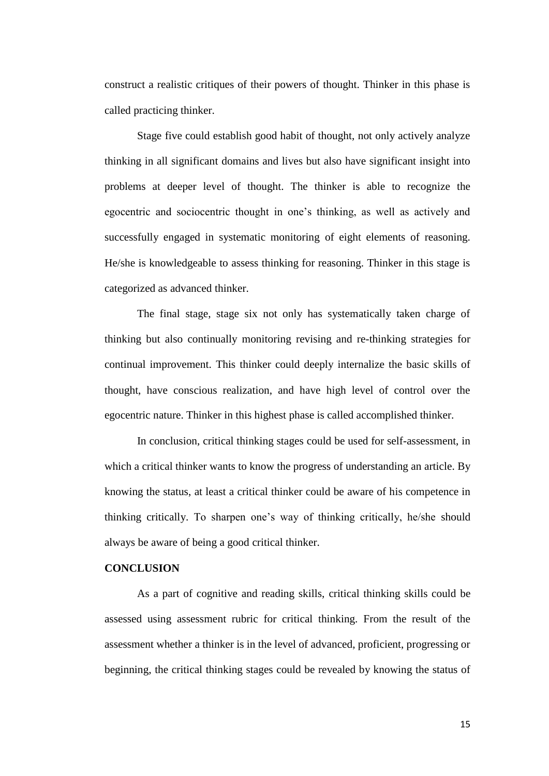construct a realistic critiques of their powers of thought. Thinker in this phase is called practicing thinker.

Stage five could establish good habit of thought, not only actively analyze thinking in all significant domains and lives but also have significant insight into problems at deeper level of thought. The thinker is able to recognize the egocentric and sociocentric thought in one's thinking, as well as actively and successfully engaged in systematic monitoring of eight elements of reasoning. He/she is knowledgeable to assess thinking for reasoning. Thinker in this stage is categorized as advanced thinker.

The final stage, stage six not only has systematically taken charge of thinking but also continually monitoring revising and re-thinking strategies for continual improvement. This thinker could deeply internalize the basic skills of thought, have conscious realization, and have high level of control over the egocentric nature. Thinker in this highest phase is called accomplished thinker.

In conclusion, critical thinking stages could be used for self-assessment, in which a critical thinker wants to know the progress of understanding an article. By knowing the status, at least a critical thinker could be aware of his competence in thinking critically. To sharpen one's way of thinking critically, he/she should always be aware of being a good critical thinker.

#### **CONCLUSION**

As a part of cognitive and reading skills, critical thinking skills could be assessed using assessment rubric for critical thinking. From the result of the assessment whether a thinker is in the level of advanced, proficient, progressing or beginning, the critical thinking stages could be revealed by knowing the status of

15